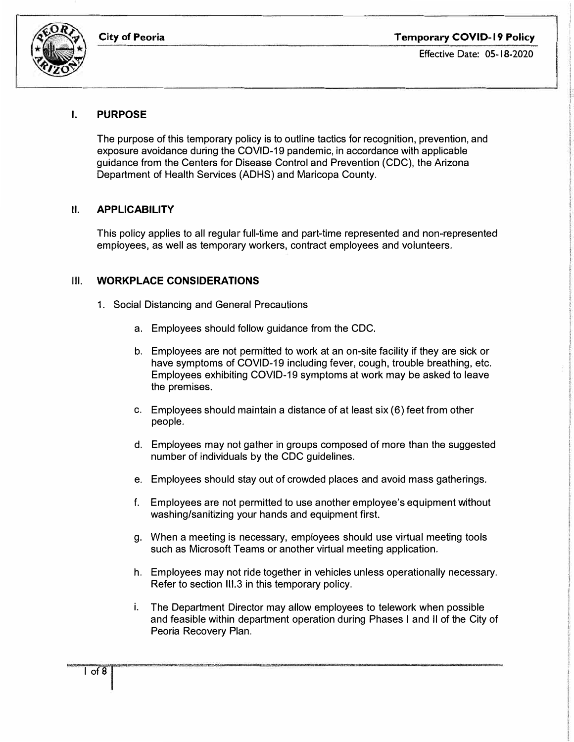

## **I. PURPOSE**

The purpose of this temporary policy is to outline tactics for recognition, prevention, and exposure avoidance during the COVID-19 pandemic, in accordance with applicable guidance from the Centers for Disease Control and Prevention (CDC), the Arizona Department of Health Services (ADHS) and Maricopa County.

## **II. APPLICABILITY**

This policy applies to all regular full-time and part-time represented and non-represented employees, as well as temporary workers, contract employees and volunteers.

### Ill. **WORKPLACE CONSIDERATIONS**

- 1. Social Distancing and General Precautions
	- a. Employees should follow guidance from the CDC.
	- b. Employees are not permitted to work at an on-site facility if they are sick or have symptoms of COVID-19 including fever, cough, trouble breathing, etc. Employees exhibiting COVID-19 symptoms at work may be asked to leave the premises.
	- c. Employees should maintain a distance of at least six (6) feet from other people.
	- d. Employees may not gather in groups composed of more than the suggested number of individuals by the CDC guidelines.
	- e. Employees should stay out of crowded places and avoid mass gatherings.
	- f. Employees are not permitted to use another employee's equipment without washing/sanitizing your hands and equipment first.
	- g. When a meeting is necessary, employees should use virtual meeting tools such as Microsoft Teams or another virtual meeting application.
	- h. Employees may not ride together in vehicles unless operationally necessary. Refer to section III.3 in this temporary policy.
	- i. The Department Director may allow employees to telework when possible and feasible within department operation during Phases I and II of the City of Peoria Recovery Plan.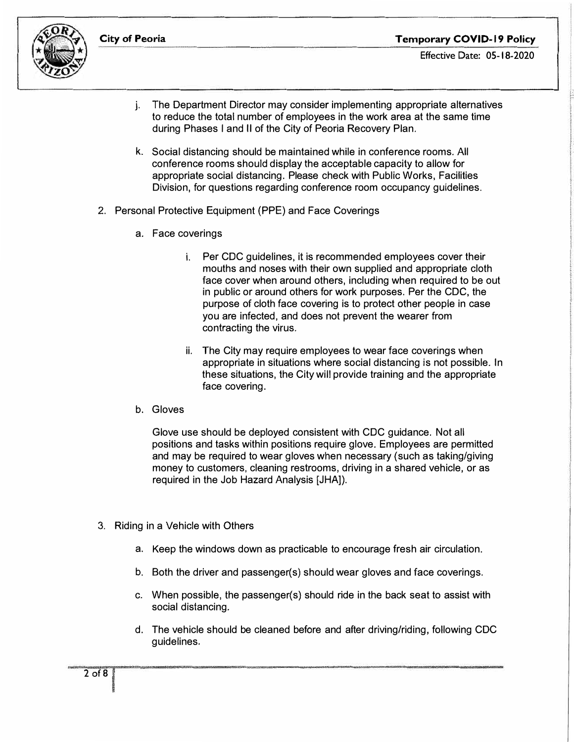

- j. The Department Director may consider implementing appropriate alternatives to reduce the total number of employees in the work area at the same time during Phases I and II of the City of Peoria Recovery Plan.
- k. Social distancing should be maintained while in conference rooms. All conference rooms should display the acceptable capacity to allow for appropriate social distancing. Please check with Public Works, Facilities Division, for questions regarding conference room occupancy guidelines.
- 2. Personal Protective Equipment (PPE) and Face Coverings
	- a. Face coverings
		- i. Per CDC guidelines, it is recommended employees cover their mouths and noses with their own supplied and appropriate cloth face cover when around others, including when required to be out in public or around others for work purposes. Per the CDC, the purpose of cloth face covering is to protect other people in case you are infected, and does not prevent the wearer from contracting the virus.
		- ii. The City may require employees to wear face coverings when appropriate in situations where social distancing is not possible. In these situations, the City will provide training and the appropriate face covering.
	- b. Gloves

Glove use should be deployed consistent with CDC guidance. Not all positions and tasks within positions require glove. Employees are permitted and may be required to wear gloves when necessary (such as taking/giving money to customers, cleaning restrooms, driving in a shared vehicle, or as required in the Job Hazard Analysis [JHA]).

- 3. Riding in a Vehicle with Others
	- a. Keep the windows down as practicable to encourage fresh air circulation.
	- b. Both the driver and passenger(s) should wear gloves and face coverings.
	- c. When possible, the passenger(s) should ride in the back seat to assist with social distancing.
	- d. The vehicle should be cleaned before and after driving/riding, following CDC guidelines.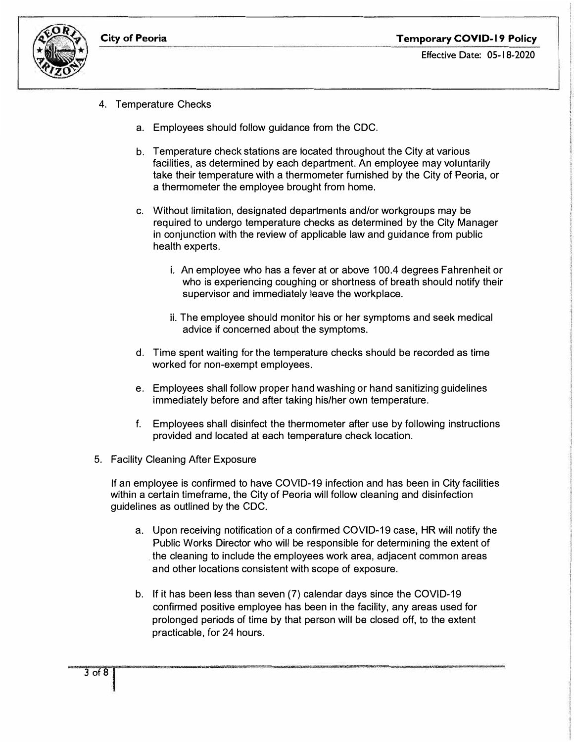

- 4. Temperature Checks
	- a. Employees should follow guidance from the CDC.
	- b. Temperature check stations are located throughout the City at various facilities, as determined by each department. An employee may voluntarily take their temperature with a thermometer furnished by the City of Peoria, or a thermometer the employee brought from home.
	- c. Without limitation, designated departments and/or workgroups may be required to undergo temperature checks as determined by the City Manager in conjunction with the review of applicable law and guidance from public health experts.
		- i. An employee who has a fever at or above 100.4 degrees Fahrenheit or who is experiencing coughing or shortness of breath should notify their supervisor and immediately leave the workplace.
		- ii. The employee should monitor his or her symptoms and seek medical advice if concerned about the symptoms.
	- d. Time spent waiting for the temperature checks should be recorded as time worked for non-exempt employees.
	- e. Employees shall follow proper hand washing or hand sanitizing guidelines immediately before and after taking his/her own temperature.
	- f. Employees shall disinfect the thermometer after use by following instructions provided and located at each temperature check location.
- 5. Facility Cleaning After Exposure

If an employee is confirmed to have COVID-19 infection and has been in City facilities within a certain timeframe, the City of Peoria will follow cleaning and disinfection guidelines as outlined by the CDC.

- a. Upon receiving notification of a confirmed COVID-19 case, HR will notify the Public Works Director who will be responsible for determining the extent of the cleaning to include the employees work area, adjacent common areas and other locations consistent with scope of exposure.
- b. If it has been less than seven (7) calendar days since the COVID-19 confirmed positive employee has been in the facility, any areas used for prolonged periods of time by that person will be closed off, to the extent practicable, for 24 hours.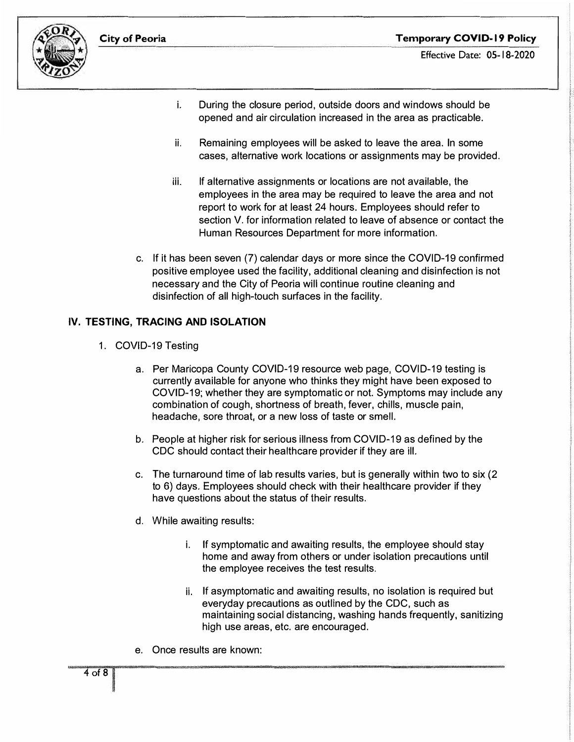

- i. During the closure period, outside doors and windows should be opened and air circulation increased in the area as practicable.
- ii. Remaining employees will be asked to leave the area. In some cases, alternative work locations or assignments may be provided.
- iii. If alternative assignments or locations are not available, the employees in the area may be required to leave the area and not report to work for at least 24 hours. Employees should refer to section V. for information related to leave of absence or contact the Human Resources Department for more information.
- c. If it has been seven (7) calendar days or more since the COVID-19 confirmed positive employee used the facility, additional cleaning and disinfection is not necessary and the City of Peoria will continue routine cleaning and disinfection of all high-touch surfaces in the facility.

# **IV. TESTING, TRACING AND ISOLATION**

- 1. COVID-19 Testing
	- a. Per Maricopa County COVID-19 resource web page, COVID-19 testing is currently available for anyone who thinks they might have been exposed to COVID-19; whether they are symptomatic or not. Symptoms may include any combination of cough, shortness of breath, fever, chills, muscle pain, headache, sore throat, or a new loss of taste or smell.
	- b. People at higher risk for serious illness from COVID-19 as defined by the CDC should contact their healthcare provider if they are ill.
	- c. The turnaround time of lab results varies, but is generally within two to six (2 to 6) days. Employees should check with their healthcare provider if they have questions about the status of their results.
	- d. While awaiting results:
		- i. If symptomatic and awaiting results, the employee should stay home and away from others or under isolation precautions until the employee receives the test results.
		- ii. If asymptomatic and awaiting results, no isolation is required but everyday precautions as outlined by the CDC, such as maintaining social distancing, washing hands frequently, sanitizing high use areas, etc. are encouraged.
	- e. Once results are known: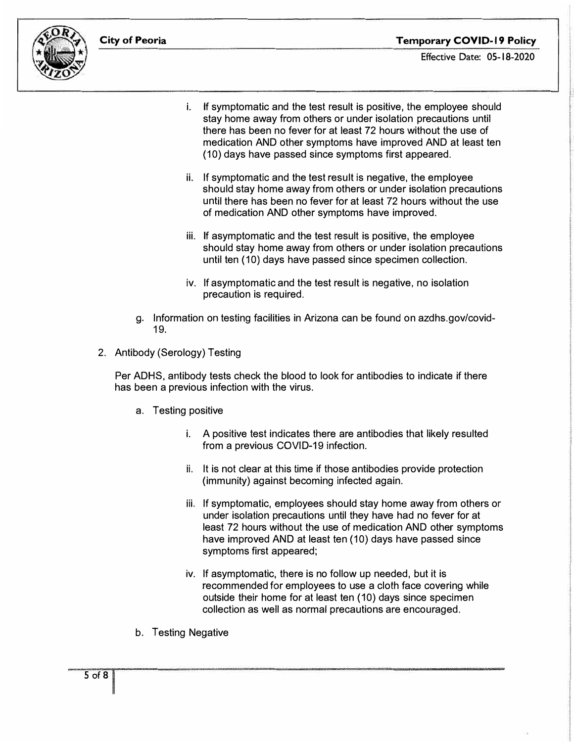



- i. If symptomatic and the test result is positive, the employee should stay home away from others or under isolation precautions until there has been no fever for at least 72 hours without the use of medication AND other symptoms have improved AND at least ten (10) days have passed since symptoms first appeared.
- ii. If symptomatic and the test result is negative, the employee should stay home away from others or under isolation precautions until there has been no fever for at least 72 hours without the use of medication AND other symptoms have improved.
- iii. If asymptomatic and the test result is positive, the employee should stay home away from others or under isolation precautions until ten ( 10) days have passed since specimen collection.
- iv. If asymptomatic and the test result is negative, no isolation precaution is required.
- g. Information on testing facilities in Arizona can be found on azdhs.gov/covid-19.
- 2. Antibody (Serology) Testing

Per ADHS, antibody tests check the blood to look for antibodies to indicate if there has been a previous infection with the virus.

- a. Testing positive
	- i. A positive test indicates there are antibodies that likely resulted from a previous COVID-19 infection.
	- ii. It is not clear at this time if those antibodies provide protection (immunity) against becoming infected again.
	- iii. If symptomatic, employees should stay home away from others or under isolation precautions until they have had no fever for at least 72 hours without the use of medication AND other symptoms have improved AND at least ten (10) days have passed since symptoms first appeared;
	- iv. If asymptomatic, there is no follow up needed, but it is recommended for employees to use a cloth face covering while outside their home for at least ten (10) days since specimen collection as well as normal precautions are encouraged.
- b. Testing Negative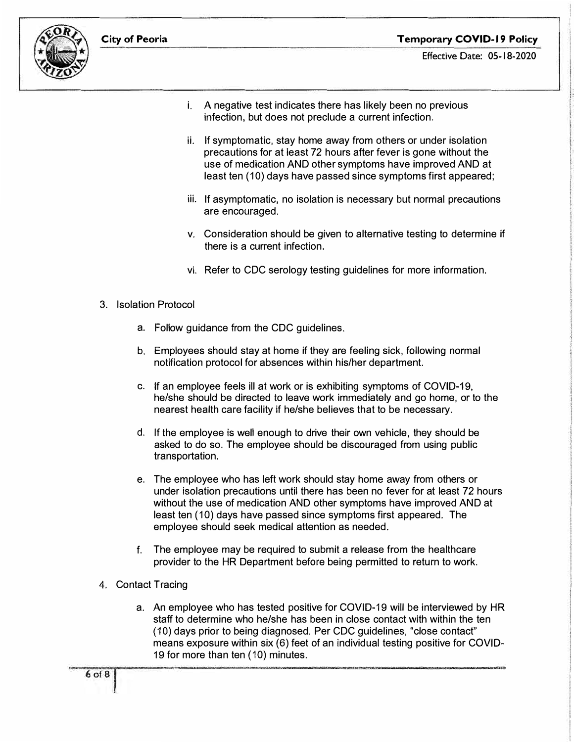



- **Effective Date:** 05-18-2020
- i. A negative test indicates there has likely been no previous infection, but does not preclude a current infection.
- ii. If symptomatic, stay home away from others or under isolation precautions for at least 72 hours after fever is gone without the use of medication AND other symptoms have improved AND at least ten (10) days have passed since symptoms first appeared;
- iii. If asymptomatic, no isolation is necessary but normal precautions are encouraged.
- v. Consideration should be given to alternative testing to determine if there is a current infection.
- vi. Refer to CDC serology testing guidelines for more information.
- 3. Isolation Protocol
	- a. Follow guidance from the CDC guidelines.
	- b. Employees should stay at home if they are feeling sick, following normal notification protocol for absences within his/her department.
	- c. If an employee feels ill at work or is exhibiting symptoms of COVID-19, he/she should be directed to leave work immediately and go home, or to the nearest health care facility if he/she believes that to be necessary.
	- d. If the employee is well enough to drive their own vehicle, they should be asked to do so. The employee should be discouraged from using public transportation.
	- e. The employee who has left work should stay home away from others or under isolation precautions until there has been no fever for at least 72 hours without the use of medication AND other symptoms have improved AND at least ten ( 10) days have passed since symptoms first appeared. The employee should seek medical attention as needed.
	- f. The employee may be required to submit a release from the healthcare provider to the HR Department before being permitted to return to work.
- 4. Contact Tracing
	- a. An employee who has tested positive for COVID-19 will be interviewed by HR staff to determine who he/she has been in close contact with within the ten (10) days prior to being diagnosed. Per CDC guidelines, "close contact" means exposure within six (6) feet of an individual testing positive for COVID-19 for more than ten ( 10) minutes.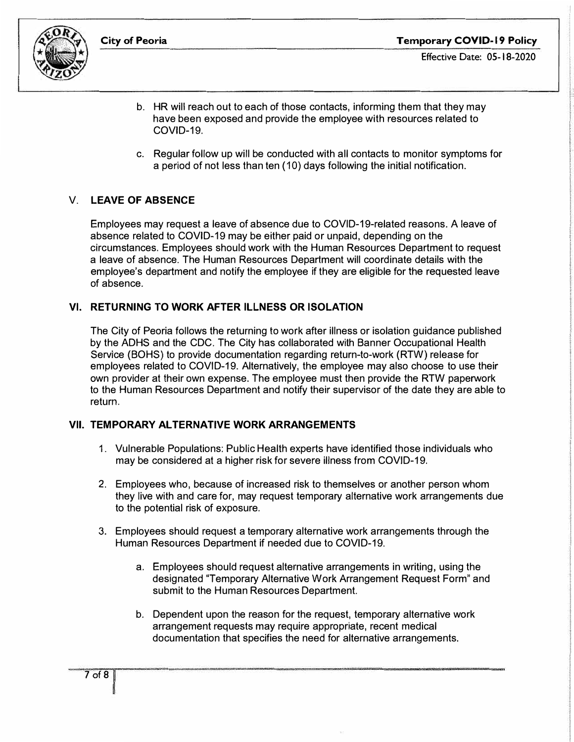

- Effective Date: 05-18-2020
- b. HR will reach out to each of those contacts, informing them that they may have been exposed and provide the employee with resources related to COVID-19.
- c. Regular follow up will be conducted with all contacts to monitor symptoms for a period of not less than ten (10) days following the initial notification.

# V. **LEAVE OF ABSENCE**

Employees may request a leave of absence due to COVID-19-related reasons. A leave of absence related to COVID-19 may be either paid or unpaid, depending on the circumstances. Employees should work with the Human Resources Department to request a leave of absence. The Human Resources Department will coordinate details with the employee's department and notify the employee if they are eligible for the requested leave of absence.

## **VI. RETURNING TO WORK AFTER ILLNESS OR ISOLATION**

The City of Peoria follows the returning to work after illness or isolation guidance published by the ADHS and the CDC. The City has collaborated with Banner Occupational Health Service (BOHS) to provide documentation regarding return-to-work (RTW) release for employees related to COVID-19. Alternatively, the employee may also choose to use their own provider at their own expense. The employee must then provide the RTW paperwork to the Human Resources Department and notify their supervisor of the date they are able to return.

## **VII. TEMPORARY ALTERNATIVE WORK ARRANGEMENTS**

- 1. Vulnerable Populations: Public Health experts have identified those individuals who may be considered at a higher risk for severe illness from COVID-19.
- 2. Employees who, because of increased risk to themselves or another person whom they live with and care for, may request temporary alternative work arrangements due to the potential risk of exposure.
- 3. Employees should request a temporary alternative work arrangements through the Human Resources Department if needed due to COVID-19.
	- a. Employees should request alternative arrangements in writing, using the designated "Temporary Alternative Work Arrangement Request Form" and submit to the Human Resources Department.
	- b. Dependent upon the reason for the request, temporary alternative work arrangement requests may require appropriate, recent medical documentation that specifies the need for alternative arrangements.